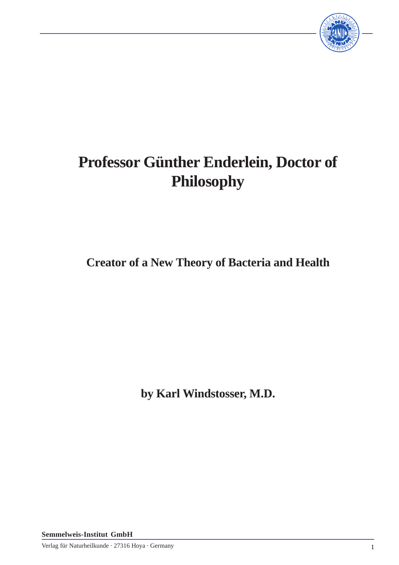

# **Professor Günther Enderlein, Doctor of Philosophy**

**Creator of a New Theory of Bacteria and Health**

**by Karl Windstosser, M.D.**

**Semmelweis-Institut GmbH**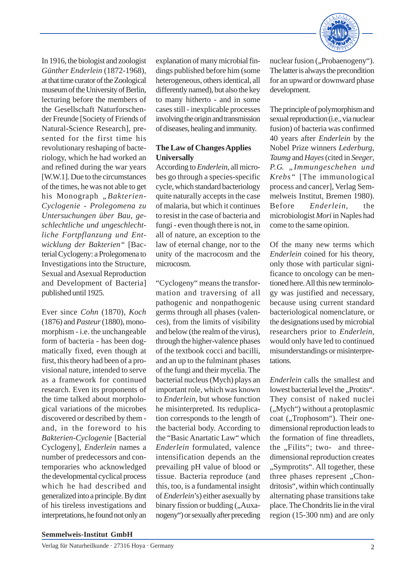

In 1916, the biologist and zoologist *Günther Enderlein* (1872-1968), at that time curator of the Zoological museum of the University of Berlin, lecturing before the members of the Gesellschaft Naturforschender Freunde [Society of Friends of Natural-Science Research], presented for the first time his revolutionary reshaping of bacteriology, which he had worked an and refined during the war years [W.W.1]. Due to the circumstances of the times, he was not able to get his Monograph "Bakterien-*Cyclogenie - Prolegomena zu Untersuchungen über Bau, geschlechtliche und ungeschlechtliche Fortpflanzung und Entwicklung der Bakterien"* [Bacterial Cyclogeny: a Prolegomena to Investigations into the Structure, Sexual and Asexual Reproduction and Development of Bacteria] published until 1925.

Ever since *Cohn* (1870), *Koch* (1876) and *Pasteur* (1880), monomorphism - i.e. the unchangeable form of bacteria - has been dogmatically fixed, even though at first, this theory had been of a provisional nature, intended to serve as a framework for continued research. Even its proponents of the time talked about morphological variations of the microbes discovered or described by them and, in the foreword to his *Bakterien-Cyclogenie* [Bacterial Cyclogeny], *Enderlein* names a number of predecessors and contemporaries who acknowledged the developmental cyclical process which he had described and generalized into a principle. By dint of his tireless investigations and interpretations, he found not only an

explanation of many microbial findings published before him (some heterogeneous, others identical, all differently named), but also the key to many hitherto - and in some cases still - inexplicable processes involving the origin and transmission of diseases, healing and immunity.

## **The Law of Changes Applies Universally**

According to *Enderlein*, all microbes go through a species-specific cycle, which standard bacteriology quite naturally accepts in the case of malaria, but which it continues to resist in the case of bacteria and fungi - even though there is not, in all of nature, an exception to the law of eternal change, nor to the unity of the macrocosm and the microcosm.

"Cyclogeny" means the transformation and traversing of all pathogenic and nonpathogenic germs through all phases (valences), from the limits of visibility and below (the realm of the virus), through the higher-valence phases of the textbook cocci and bacilli, and an up to the fulminant phases of the fungi and their mycelia. The bacterial nucleus (Mych) plays an important role, which was known to *Enderlein*, but whose function he misinterpreted. Its reduplication corresponds to the length of the bacterial body. According to the "Basic Anartatic Law" which *Enderlein* formulated, valence intensification depends an the prevailing pH value of blood or tissue. Bacteria reproduce (and this, too, is a fundamental insight of *Enderlein*'s) either asexually by binary fission or budding ("Auxanogeny") or sexually after preceding

nuclear fusion ("Probaenogeny"). The latter is always the precondition for an upward or downward phase development.

The principle of polymorphism and sexual reproduction (i.e., via nuclear fusion) of bacteria was confirmed 40 years after *Enderlein* by the Nobel Prize winners *Lederburg*, *Taumg* and *Hayes* (cited in *Seeger*, *P.G. "Immungeschehen und Krebs"* [The immunological process and cancer], Verlag Semmelweis Institut, Bremen 1980). Before *Enderlein*, the microbiologist *Mori* in Naples had come to the same opinion.

Of the many new terms which *Enderlein* coined for his theory, only those with particular significance to oncology can be mentioned here. All this new terminology was justified and necessary, because using current standard bacteriological nomenclature, or the designations used by microbial researchers prior to *Enderlein*, would only have led to continued misunderstandings or misinterpretations.

*Enderlein* calls the smallest and lowest bacterial level the "Protits". They consist of naked nuclei  $($ "Mych") without a protoplasmic coat ("Trophosom"). Their onedimensional reproduction leads to the formation of fine threadlets, the "Filits"; two- and threedimensional reproduction creates "Symprotits". All together, these three phases represent "Chondritosis", within which continually alternating phase transitions take place. The Chondrits lie in the viral region (15-300 nm) and are only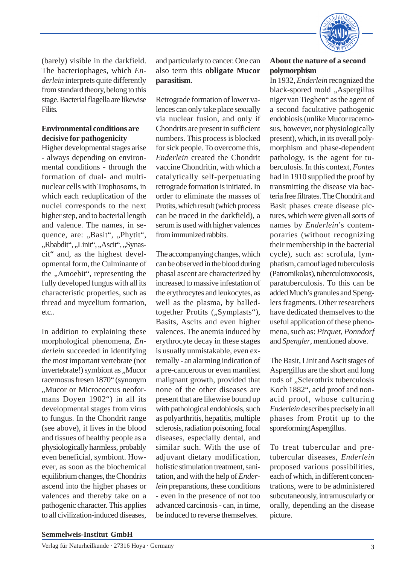

(barely) visible in the darkfield. The bacteriophages, which *Enderlein* interprets quite differently from standard theory, belong to this stage. Bacterial flagella are likewise Filits.

# **Environmental conditions are decisive for pathogenicity**

Higher developmental stages arise - always depending on environmental conditions - through the formation of dual- and multinuclear cells with Trophosoms, in which each reduplication of the nuclei corresponds to the next higher step, and to bacterial length and valence. The names, in sequence, are: "Basit", "Phytit", "Rbabdit", "Linit", "Ascit", "Synascit" and, as the highest developmental form, the Culminante of the "Amoebit", representing the fully developed fungus with all its characteristic properties, such as thread and mycelium formation, etc..

In addition to explaining these morphological phenomena, *Enderlein* succeeded in identifying the most important vertebrate (not invertebrate!) symbiont as "Mucor racemosus fresen 1870" (synonym "Mucor or Micrococcus neoformans Doyen 1902") in all its developmental stages from virus to fungus. In the Chondrit range (see above), it lives in the blood and tissues of healthy people as a physiologically harmless, probably even beneficial, symbiont. However, as soon as the biochemical equilibrium changes, the Chondrits ascend into the higher phases or valences and thereby take on a pathogenic character. This applies to all civilization-induced diseases,

and particularly to cancer. One can also term this **obligate Mucor parasitism**.

Retrograde formation of lower valences can only take place sexually via nuclear fusion, and only if Chondrits are present in sufficient numbers. This process is blocked for sick people. To overcome this, *Enderlein* created the Chondrit vaccine Chondritin, with which a catalytically self-perpetuating retrograde formation is initiated. In order to eliminate the masses of Protits, which result (which process can be traced in the darkfield), a serum is used with higher valences from immunized rabbits.

The accompanying changes, which can be observed in the blood during phasal ascent are characterized by increased to massive infestation of the erythrocytes and leukocytes, as well as the plasma, by balledtogether Protits ("Symplasts"), Basits, Ascits and even higher valences. The anemia induced by erythrocyte decay in these stages is usually unmistakable, even externally - an alarming indication of a pre-cancerous or even manifest malignant growth, provided that none of the other diseases are present that are likewise bound up with pathological endobiosis, such as polyarthritis, hepatitis, multiple sclerosis, radiation poisoning, focal diseases, especially dental, and similar such. With the use of adjuvant dietary modification, holistic stimulation treatment, sanitation, and with the help of *Enderlein* preparations, these conditions - even in the presence of not too advanced carcinosis - can, in time, be induced to reverse themselves.

### **About the nature of a second polymorphism**

In 1932, *Enderlein* recognized the black-spored mold "Aspergillus niger van Tieghen" as the agent of a second facultative pathogenic endobiosis (unlike Mucor racemosus, however, not physiologically present), which, in its overall polymorphism and phase-dependent pathology, is the agent for tuberculosis. In this context, *Fontes* had in 1910 supplied the proof by transmitting the disease via bacteria free filtrates. The Chondrit and Basit phases create disease pictures, which were given all sorts of names by *Enderlein*'s contemporaries (without recognizing their membership in the bacterial cycle), such as: scrofula, lymphatism, camouflaged tuberculosis (Patromikolas), tuberculotoxocosis, paratuberculosis. To this can be added Much's granules and Spenglers fragments. Other researchers have dedicated themselves to the useful application of these phenomena, such as: *Pirquet*, *Ponndorf* and *Spengler*, mentioned above.

The Basit, Linit and Ascit stages of Aspergillus are the short and long rods of ..Sclerothrix tuberculosis Koch 1882", acid proof and nonacid proof, whose culturing *Enderlein* describes precisely in all phases from Protit up to the sporeforming Aspergillus.

To treat tubercular and pretubercular diseases, *Enderlein* proposed various possibilities, each of which, in different concentrations, were to be administered subcutaneously, intramuscularly or orally, depending an the disease picture.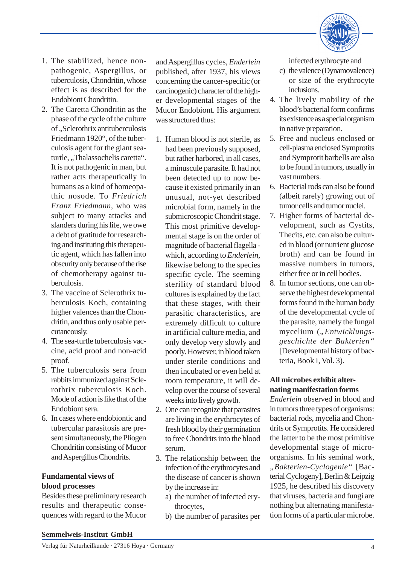

- 1. The stabilized, hence nonpathogenic, Aspergillus, or tuberculosis, Chondritin, whose effect is as described for the Endobiont Chondritin.
- 2. The Caretta Chondritin as the phase of the cycle of the culture of "Sclerothrix antituberculosis Friedmann 1920", of the tuberculosis agent for the giant seaturtle, "Thalassochelis caretta". It is not pathogenic in man, but rather acts therapeutically in humans as a kind of homeopathic nosode. To *Friedrich Franz Friedmann*, who was subject to many attacks and slanders during his life, we owe a debt of gratitude for researching and instituting this therapeutic agent, which has fallen into obscurity only because of the rise of chemotherapy against tuberculosis.
- 3. The vaccine of Sclerothrix tuberculosis Koch, containing higher valences than the Chondritin, and thus only usable percutaneously.
- 4. The sea-turtle tuberculosis vaccine, acid proof and non-acid proof.
- 5. The tuberculosis sera from rabbits immunized against Sclerothrix tuberculosis Koch. Mode of action is like that of the Endobiont sera.
- 6. In cases where endobiontic and tubercular parasitosis are present simultaneously, the Pliogen Chondritin consisting of Mucor and Aspergillus Chondrits.

#### **Fundamental views of blood processes**

Besides these preliminary research results and therapeutic consequences with regard to the Mucor and Aspergillus cycles, *Enderlein* published, after 1937, his views concerning the cancer-specific (or carcinogenic) character of the higher developmental stages of the Mucor Endobiont. His argument was structured thus:

- 1. Human blood is not sterile, as had been previously supposed, but rather harbored, in all cases, a minuscule parasite. It had not been detected up to now because it existed primarily in an unusual, not-yet described microbial form, namely in the submicroscopic Chondrit stage. This most primitive developmental stage is on the order of magnitude of bacterial flagella which, according to *Enderlein*, likewise belong to the species specific cycle. The seeming sterility of standard blood cultures is explained by the fact that these stages, with their parasitic characteristics, are extremely difficult to culture in artificial culture media, and only develop very slowly and poorly. However, in blood taken under sterile conditions and then incubated or even held at room temperature, it will develop over the course of several weeks into lively growth.
- 2. One can recognize that parasites are living in the erythrocytes of fresh blood by their germination to free Chondrits into the blood serum.
- 3. The relationship between the infection of the erythrocytes and the disease of cancer is shown by the increase in:
	- a) the number of infected erythrocytes,
	- b) the number of parasites per

infected erythrocyte and

- c) the valence (Dynamovalence) or size of the erythrocyte inclusions.
- 4. The lively mobility of the blood's bacterial form confirms its existence as a special organism in native preparation.
- 5. Free and nucleus enclosed or cell-plasma enclosed Symprotits and Symprotit barbells are also to be found in tumors, usually in vast numbers.
- 6. Bacterial rods can also be found (albeit rarely) growing out of tumor cells and tumor nuclei.
- 7. Higher forms of bacterial development, such as Cystits, Thecits, etc. can also be cultured in blood (or nutrient glucose broth) and can be found in massive numbers in tumors, either free or in cell bodies.
- 8. In tumor sections, one can observe the highest developmental forms found in the human body of the developmental cycle of the parasite, namely the fungal mycelium ("*Entwicklungsgeschichte der Bakterien"* [Developmental history of bacteria, Book I, Vol. 3).

# **All microbes exhibit alternating manifestation forms**

*Enderlein* observed in blood and in tumors three types of organisms: bacterial rods, mycelia and Chondrits or Symprotits. He considered the latter to be the most primitive developmental stage of microorganisms. In his seminal work, *"Bakterien-Cyclogenie"* [Bacterial Cyclogeny], Berlin & Leipzig 1925, he described his discovery that viruses, bacteria and fungi are nothing but alternating manifestation forms of a particular microbe.

#### **Semmelweis-Institut GmbH**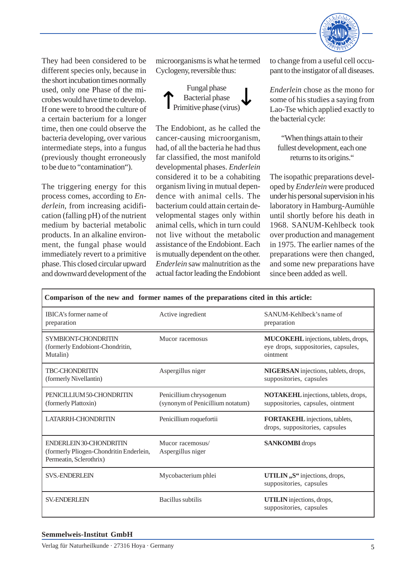

They had been considered to be different species only, because in the short incubation times normally used, only one Phase of the microbes would have time to develop. If one were to brood the culture of a certain bacterium for a longer time, then one could observe the bacteria developing, over various intermediate steps, into a fungus (previously thought erroneously to be due to "contamination").

The triggering energy for this process comes, according to *Enderlein*, from increasing acidification (falling pH) of the nutrient medium by bacterial metabolic products. In an alkaline environment, the fungal phase would immediately revert to a primitive phase. This closed circular upward and downward development of the

microorganisms is what he termed Cyclogeny, reversible thus:



The Endobiont, as he called the cancer-causing microorganism, had, of all the bacteria he had thus far classified, the most manifold developmental phases. *Enderlein* considered it to be a cohabiting organism living in mutual dependence with animal cells. The bacterium could attain certain developmental stages only within animal cells, which in turn could not live without the metabolic assistance of the Endobiont. Each is mutually dependent on the other. *Enderlein* saw malnutrition as the actual factor leading the Endobiont

to change from a useful cell occupant to the instigator of all diseases.

*Enderlein* chose as the mono for some of his studies a saying from Lao-Tse which applied exactly to the bacterial cycle:

"When things attain to their fullest development, each one returns to its origins."

The isopathic preparations developed by *Enderlein* were produced under his personal supervision in his laboratory in Hamburg-Aumühle until shortly before his death in 1968. SANUM-Kehlbeck took over production and management in 1975. The earlier names of the preparations were then changed, and some new preparations have since been added as well.

| Comparison of the new and former names of the preparations cited in this article:             |                                                             |                                                                                         |
|-----------------------------------------------------------------------------------------------|-------------------------------------------------------------|-----------------------------------------------------------------------------------------|
| IBICA's former name of<br>preparation                                                         | Active ingredient                                           | SANUM-Kehlbeck's name of<br>preparation                                                 |
| SYMBIONT-CHONDRITIN<br>(formerly Endobiont-Chondritin,<br>Mutalin)                            | Mucor racemosus                                             | MUCOKEHL injections, tablets, drops,<br>eye drops, suppositories, capsules,<br>ointment |
| <b>TBC-CHONDRITIN</b><br>(formerly Nivellantin)                                               | Aspergillus niger                                           | NIGERSAN injections, tablets, drops,<br>suppositories, capsules                         |
| PENICILLIUM 50-CHONDRITIN<br>(formerly Plattoxin)                                             | Penicillium chrysogenum<br>(synonym of Penicillium notatum) | NOTAKEHL injections, tablets, drops,<br>suppositories, capsules, ointment               |
| <b>LATARRH-CHONDRITIN</b>                                                                     | Penicillium roquefortii                                     | FORTAKEHL injections, tablets,<br>drops, suppositories, capsules                        |
| ENDERLEIN 30-CHONDRITIN<br>(formerly Pliogen-Chondritin Enderlein,<br>Permeatin, Sclerothrix) | Mucor racemosus/<br>Aspergillus niger                       | <b>SANKOMBI</b> drops                                                                   |
| <b>SVS.-ENDERLEIN</b>                                                                         | Mycobacterium phlei                                         | UTILIN,, S" injections, drops,<br>suppositories, capsules                               |
| <b>SV-ENDERLEIN</b>                                                                           | Bacillus subtilis                                           | <b>UTILIN</b> injections, drops,<br>suppositories, capsules                             |

#### **Semmelweis-Institut GmbH**